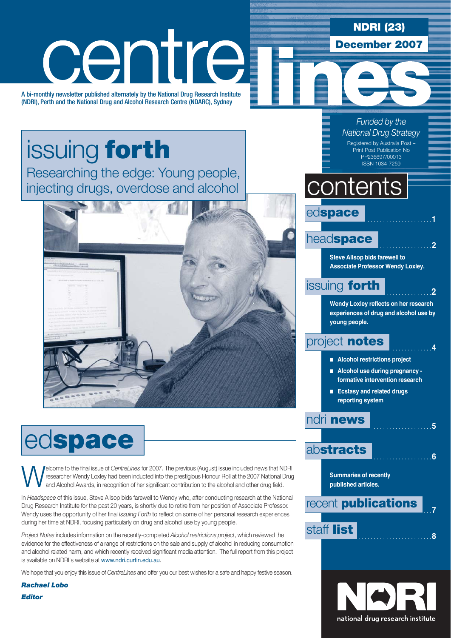**NDRI (23)**

**December 2007**

# centre

A bi-monthly newsletter published alternately by the National Drug Research Institute (NDRI), Perth and the National Drug and Alcohol Research Centre (NDARC), Sydney

# issuing **forth**

Researching the edge: Young people, injecting drugs, overdose and alcohol



# ed**space**

**Welcome to the final issue of** *CentreLines* for 2007. The previous (August) issue included news that NDRI researcher Wendy Loxley had been inducted into the prestigious Honour Roll at the 2007 National Drug and Alcohol A researcher Wendy Loxley had been inducted into the prestigious Honour Roll at the 2007 National Drug and Alcohol Awards, in recognition of her significant contribution to the alcohol and other drug field.

In *Headspace* of this issue, Steve Allsop bids farewell to Wendy who, after conducting research at the National Drug Research Institute for the past 20 years, is shortly due to retire from her position of Associate Professor. Wendy uses the opportunity of her final *Issuing Forth* to reflect on some of her personal research experiences during her time at NDRI, focusing particularly on drug and alcohol use by young people.

*Project Notes* includes information on the recently-completed *Alcohol restrictions project*, which reviewed the evidence for the effectiveness of a range of restrictions on the sale and supply of alcohol in reducing consumption and alcohol related harm, and which recently received significant media attention. The full report from this project is available on NDRI's website at www.ndri.curtin.edu.au.

We hope that you enjoy this issue of *CentreLines* and offer you our best wishes for a safe and happy festive season.

*Rachael Lobo Editor*

#### *Funded by the National Drug Strategy* Registered by Australia Post – Print Post Publication No PP236697/00013

ISSN 1034-7259

# **contents**

edspace

## head**space** . . . . . . . . . . . . . . . . .**<sup>2</sup>**

**Steve Allsop bids farewell to Associate Professor Wendy Loxley.**

## **issuing forth**

**Wendy Loxley reflects on her research experiences of drug and alcohol use by young people.**

## project **notes .** . . . . .

- Alcohol restrictions project
- Alcohol use during pregnancy **formative intervention research**
- Ecstasy and related drugs **reporting system**

## ndri **news** . . . . . . . . . . . . . . . . . . .**<sup>5</sup>**

## ab**stracts** . . . . . . . . . . . . . . . . . . .**<sup>6</sup>**

**Summaries of recently published articles.**

recent **publications** 

## staff **list** . . . . . . . . . . . . . . . . . . . . . . . .**<sup>8</sup>**

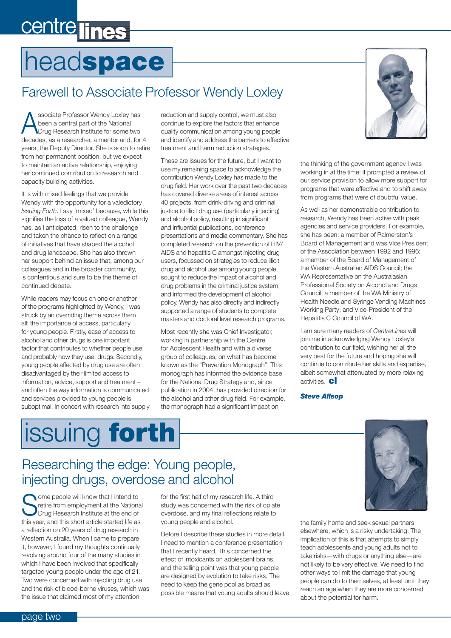# centre lines

# head**space**

## Farewell to Associate Professor Wendy Loxley

Associate Professor Wendy Loxley has<br>
Drug Research Institute for some two<br>
Drug Research Institute for some two been a central part of the National decades, as a researcher, a mentor and, for 4 years, the Deputy Director. She is soon to retire from her permanent position, but we expect to maintain an active relationship, enjoying her continued contribution to research and capacity building activities.

It is with mixed feelings that we provide Wendy with the opportunity for a valedictory *Issuing Forth*. I say 'mixed' because, while this signifies the loss of a valued colleague, Wendy has, as I anticipated, risen to the challenge and taken the chance to reflect on a range of initiatives that have shaped the alcohol and drug landscape. She has also thrown her support behind an issue that, among our colleagues and in the broader community, is contentious and sure to be the theme of continued debate.

While readers may focus on one or another of the programs highlighted by Wendy, I was struck by an overriding theme across them all: the importance of access, particularly for young people. Firstly, ease of access to alcohol and other drugs is one important factor that contributes to whether people use, and probably how they use, drugs. Secondly, young people affected by drug use are often disadvantaged by their limited access to information, advice, support and treatment – and often the way information is communicated and services provided to young people is suboptimal. In concert with research into supply reduction and supply control, we must also continue to explore the factors that enhance quality communication among young people and identify and address the barriers to effective treatment and harm reduction strategies.

These are issues for the future, but I want to use my remaining space to acknowledge the contribution Wendy Loxley has made to the drug field. Her work over the past two decades has covered diverse areas of interest across 40 projects, from drink-driving and criminal justice to illicit drug use (particularly injecting) and alcohol policy, resulting in significant and influential publications, conference presentations and media commentary. She has completed research on the prevention of HIV/ AIDS and hepatitis C amongst injecting drug users, focussed on strategies to reduce illicit drug and alcohol use among young people, sought to reduce the impact of alcohol and drug problems in the criminal justice system, and informed the development of alcohol policy. Wendy has also directly and indirectly supported a range of students to complete masters and doctoral level research programs.

Most recently she was Chief Investigator, working in partnership with the Centre for Adolescent Health and with a diverse group of colleagues, on what has become known as the "Prevention Monograph". This monograph has informed the evidence base for the National Drug Strategy and, since publication in 2004, has provided direction for the alcohol and other drug field. For example, the monograph had a significant impact on



the thinking of the government agency I was working in at the time: it prompted a review of our service provision to allow more support for programs that were effective and to shift away from programs that were of doubtful value.

As well as her demonstrable contribution to research, Wendy has been active with peak agencies and service providers. For example, she has been: a member of Palmerston's Board of Management and was Vice President of the Association between 1992 and 1996; a member of the Board of Management of the Western Australian AIDS Council; the WA Representative on the Australasian Professional Society on Alcohol and Drugs Council; a member of the WA Ministry of Health Needle and Syringe Vending Machines Working Party; and Vice-President of the Hepatitis C Council of WA.

I am sure many readers of *CentreLines* will join me in acknowledging Wendy Loxley's contribution to our field, wishing her all the very best for the future and hoping she will continue to contribute her skills and expertise, albeit somewhat attenuated by more relaxing activities. **cl**

*Steve Allsop*

# issuing **forth**

## Researching the edge: Young people, injecting drugs, overdose and alcohol

Some people will know that I intend to<br>September of the National Drug Research Institute at the end of retire from employment at the National Drug Research Institute at the end of this year, and this short article started life as a reflection on 20 years of drug research in Western Australia. When I came to prepare it, however, I found my thoughts continually revolving around four of the many studies in which I have been involved that specifically targeted young people under the age of 21. Two were concerned with injecting drug use and the risk of blood-borne viruses, which was the issue that claimed most of my attention

for the first half of my research life. A third study was concerned with the risk of opiate overdose, and my final reflections relate to young people and alcohol.

Before I describe these studies in more detail, I need to mention a conference presentation that I recently heard. This concerned the effect of intoxicants on adolescent brains, and the telling point was that young people are designed by evolution to take risks. The need to keep the gene pool as broad as possible means that young adults should leave

![](_page_1_Picture_19.jpeg)

the family home and seek sexual partners elsewhere, which is a risky undertaking. The implication of this is that attempts to simply teach adolescents and young adults not to take risks—with drugs or anything else—are not likely to be very effective. We need to find other ways to limit the damage that young people can do to themselves, at least until they reach an age when they are more concerned about the potential for harm.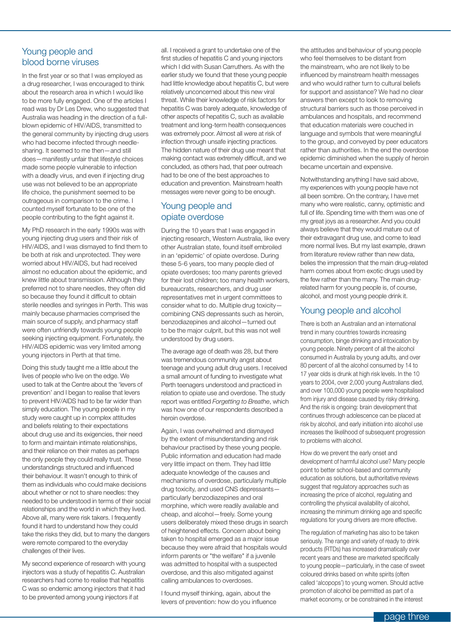#### Young people and blood borne viruses

In the first year or so that I was employed as a drug researcher, I was encouraged to think about the research area in which I would like to be more fully engaged. One of the articles I read was by Dr Les Drew, who suggested that Australia was heading in the direction of a fullblown epidemic of HIV/AIDS, transmitted to the general community by injecting drug users who had become infected through needlesharing. It seemed to me then—and still does—manifestly unfair that lifestyle choices made some people vulnerable to infection with a deadly virus, and even if injecting drug use was not believed to be an appropriate life choice, the punishment seemed to be outrageous in comparison to the crime. I counted myself fortunate to be one of the people contributing to the fight against it.

My PhD research in the early 1990s was with young injecting drug users and their risk of HIV/AIDS, and I was dismayed to find them to be both at risk and unprotected. They were worried about HIV/AIDS, but had received almost no education about the epidemic, and knew little about transmission. Although they preferred not to share needles, they often did so because they found it difficult to obtain sterile needles and syringes in Perth. This was mainly because pharmacies comprised the main source of supply, and pharmacy staff were often unfriendly towards young people seeking injecting equipment. Fortunately, the HIV/AIDS epidemic was very limited among young injectors in Perth at that time.

Doing this study taught me a little about the lives of people who live on the edge. We used to talk at the Centre about the 'levers of prevention' and I began to realise that levers to prevent HIV/AIDS had to be far wider than simply education. The young people in my study were caught up in complex attitudes and beliefs relating to their expectations about drug use and its exigencies, their need to form and maintain intimate relationships, and their reliance on their mates as perhaps the only people they could really trust. These understandings structured and influenced their behaviour. It wasn't enough to think of them as individuals who could make decisions about whether or not to share needles: they needed to be understood in terms of their social relationships and the world in which they lived. Above all, many were risk takers. I frequently found it hard to understand how they could take the risks they did, but to many the dangers were remote compared to the everyday challenges of their lives.

My second experience of research with young injectors was a study of hepatitis C. Australian researchers had come to realise that hepatitis C was so endemic among injectors that it had to be prevented among young injectors if at

all. I received a grant to undertake one of the first studies of hepatitis C and young injectors which I did with Susan Carruthers. As with the earlier study we found that these young people had little knowledge about hepatitis C, but were relatively unconcerned about this new viral threat. While their knowledge of risk factors for hepatitis C was barely adequate, knowledge of other aspects of hepatitis C, such as available treatment and long-term health consequences was extremely poor. Almost all were at risk of infection through unsafe injecting practices. The hidden nature of their drug use meant that making contact was extremely difficult, and we concluded, as others had, that peer outreach had to be one of the best approaches to education and prevention. Mainstream health messages were never going to be enough.

#### Young people and opiate overdose

During the 10 years that I was engaged in injecting research, Western Australia, like every other Australian state, found itself embroiled in an 'epidemic' of opiate overdose. During these 5-6 years, too many people died of opiate overdoses; too many parents grieved for their lost children; too many health workers, bureaucrats, researchers, and drug user representatives met in urgent committees to consider what to do. Multiple drug toxicity combining CNS depressants such as heroin, benzodiazepines and alcohol—turned out to be the major culprit, but this was not well understood by drug users.

The average age of death was 28, but there was tremendous community angst about teenage and young adult drug users. I received a small amount of funding to investigate what Perth teenagers understood and practiced in relation to opiate use and overdose. The study report was entitled *Forgetting to Breathe*, which was how one of our respondents described a heroin overdose.

Again, I was overwhelmed and dismayed by the extent of misunderstanding and risk behaviour practised by these young people. Public information and education had made very little impact on them. They had little adequate knowledge of the causes and mechanisms of overdose, particularly multiple drug toxicity, and used CNS depressants particularly benzodiazepines and oral morphine, which were readily available and cheap, and alcohol—freely. Some young users deliberately mixed these drugs in search of heightened effects. Concern about being taken to hospital emerged as a major issue because they were afraid that hospitals would inform parents or "the welfare" if a juvenile was admitted to hospital with a suspected overdose, and this also mitigated against calling ambulances to overdoses.

I found myself thinking, again, about the levers of prevention: how do you influence

the attitudes and behaviour of young people who feel themselves to be distant from the mainstream, who are not likely to be influenced by mainstream health messages and who would rather turn to cultural beliefs for support and assistance? We had no clear answers then except to look to removing structural barriers such as those perceived in ambulances and hospitals, and recommend that education materials were couched in language and symbols that were meaningful to the group, and conveyed by peer educators rather than authorities. In the end the overdose epidemic diminished when the supply of heroin became uncertain and expensive.

Notwithstanding anything I have said above, my experiences with young people have not all been sombre. On the contrary, I have met many who were realistic, canny, optimistic and full of life. Spending time with them was one of my great joys as a researcher. And you could always believe that they would mature out of their extravagant drug use, and come to lead more normal lives. But my last example, drawn from literature review rather than new data, belies the impression that the main drug-related harm comes about from exotic drugs used by the few rather than the many. The main drugrelated harm for young people is, of course, alcohol, and most young people drink it.

#### Young people and alcohol

There is both an Australian and an international trend in many countries towards increasing consumption, binge drinking and intoxication by young people. Ninety percent of all the alcohol consumed in Australia by young adults, and over 80 percent of all the alcohol consumed by 14 to 17 year olds is drunk at high risk levels. In the 10 years to 2004, over 2,000 young Australians died, and over 100,000 young people were hospitalised from injury and disease caused by risky drinking. And the risk is ongoing: brain development that continues through adolescence can be placed at risk by alcohol, and early initiation into alcohol use increases the likelihood of subsequent progression to problems with alcohol.

How do we prevent the early onset and development of harmful alcohol use? Many people point to better school-based and community education as solutions, but authoritative reviews suggest that regulatory approaches such as increasing the price of alcohol, regulating and controlling the physical availability of alcohol, increasing the minimum drinking age and specific regulations for young drivers are more effective.

The regulation of marketing has also to be taken seriously. The range and variety of ready to drink products (RTDs) has increased dramatically over recent years and these are marketed specifically to young people—particularly, in the case of sweet coloured drinks based on white spirits (often called 'alcopops') to young women. Should active promotion of alcohol be permitted as part of a market economy, or be constrained in the interest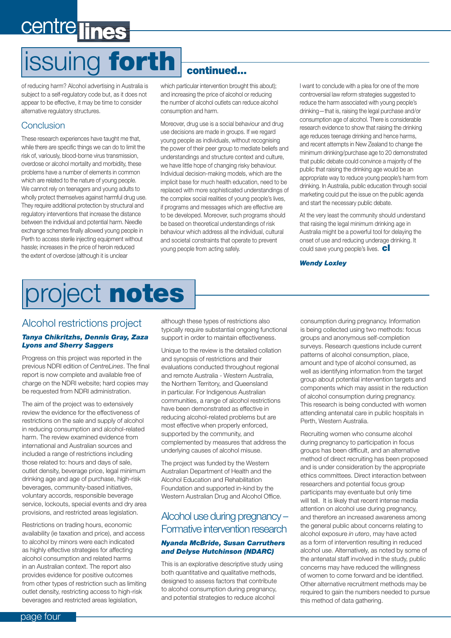# issuing **forth continued...**

of reducing harm? Alcohol advertising in Australia is subject to a self-regulatory code but, as it does not appear to be effective, it may be time to consider alternative regulatory structures.

#### Conclusion

These research experiences have taught me that, while there are specific things we can do to limit the risk of, variously, blood-borne virus transmission, overdose or alcohol mortality and morbidity, these problems have a number of elements in common which are related to the nature of young people. We cannot rely on teenagers and young adults to wholly protect themselves against harmful drug use. They require additional protection by structural and regulatory interventions that increase the distance between the individual and potential harm. Needle exchange schemes finally allowed young people in Perth to access sterile injecting equipment without hassle; increases in the price of heroin reduced the extent of overdose (although it is unclear

which particular intervention brought this about); and increasing the price of alcohol or reducing the number of alcohol outlets can reduce alcohol consumption and harm.

Moreover, drug use is a social behaviour and drug use decisions are made in groups. If we regard young people as individuals, without recognising the power of their peer group to mediate beliefs and understandings and structure context and culture, we have little hope of changing risky behaviour. Individual decision-making models, which are the implicit base for much health education, need to be replaced with more sophisticated understandings of the complex social realities of young people's lives, if programs and messages which are effective are to be developed. Moreover, such programs should be based on theoretical understandings of risk behaviour which address all the individual, cultural and societal constraints that operate to prevent young people from acting safely.

I want to conclude with a plea for one of the more controversial law reform strategies suggested to reduce the harm associated with young people's drinking—that is, raising the legal purchase and/or consumption age of alcohol. There is considerable research evidence to show that raising the drinking age reduces teenage drinking and hence harms, and recent attempts in New Zealand to change the minimum drinking/purchase age to 20 demonstrated that public debate could convince a majority of the public that raising the drinking age would be an appropriate way to reduce young people's harm from drinking. In Australia, public education through social marketing could put the issue on the public agenda and start the necessary public debate.

At the very least the community should understand that raising the legal minimum drinking age in Australia might be a powerful tool for delaying the onset of use and reducing underage drinking. It could save young people's lives. **cl**

*Wendy Loxley*

# project **notes**

#### Alcohol restrictions project

#### *Tanya Chikritzhs, Dennis Gray, Zaza Lyons and Sherry Saggers*

Progress on this project was reported in the previous NDRI edition of *CentreLines*. The final report is now complete and available free of charge on the NDRI website; hard copies may be requested from NDRI administration.

The aim of the project was to extensively review the evidence for the effectiveness of restrictions on the sale and supply of alcohol in reducing consumption and alcohol-related harm. The review examined evidence from international and Australian sources and included a range of restrictions including those related to: hours and days of sale, outlet density, beverage price, legal minimum drinking age and age of purchase, high-risk beverages, community-based initiatives, voluntary accords, responsible beverage service, lockouts, special events and dry area provisions, and restricted areas legislation.

Restrictions on trading hours, economic availability (ie taxation and price), and access to alcohol by minors were each indicated as highly effective strategies for affecting alcohol consumption and related harms in an Australian context. The report also provides evidence for positive outcomes from other types of restriction such as limiting outlet density, restricting access to high-risk beverages and restricted areas legislation,

although these types of restrictions also typically require substantial ongoing functional support in order to maintain effectiveness.

Unique to the review is the detailed collation and synopsis of restrictions and their evaluations conducted throughout regional and remote Australia - Western Australia, the Northern Territory, and Queensland in particular. For Indigenous Australian communities, a range of alcohol restrictions have been demonstrated as effective in reducing alcohol-related problems but are most effective when properly enforced, supported by the community, and complemented by measures that address the underlying causes of alcohol misuse.

The project was funded by the Western Australian Department of Health and the Alcohol Education and Rehabilitation Foundation and supported in-kind by the Western Australian Drug and Alcohol Office.

#### Alcohol use during pregnancy – Formative intervention research

#### *Nyanda McBride, Susan Carruthers and Delyse Hutchinson (NDARC)*

This is an explorative descriptive study using both quantitative and qualitative methods, designed to assess factors that contribute to alcohol consumption during pregnancy, and potential strategies to reduce alcohol

consumption during pregnancy. Information is being collected using two methods: focus groups and anonymous self-completion surveys. Research questions include current patterns of alcohol consumption, place, amount and type of alcohol consumed, as well as identifying information from the target group about potential intervention targets and components which may assist in the reduction of alcohol consumption during pregnancy. This research is being conducted with women attending antenatal care in public hospitals in Perth, Western Australia.

Recruiting women who consume alcohol during pregnancy to participation in focus groups has been difficult, and an alternative method of direct recruiting has been proposed and is under consideration by the appropriate ethics committees. Direct interaction between researchers and potential focus group participants may eventuate but only time will tell. It is likely that recent intense media attention on alcohol use during pregnancy, and therefore an increased awareness among the general public about concerns relating to alcohol exposure *in utero*, may have acted as a form of intervention resulting in reduced alcohol use. Alternatively, as noted by some of the antenatal staff involved in the study, public concerns may have reduced the willingness of women to come forward and be identified. Other alternative recruitment methods may be required to gain the numbers needed to pursue this method of data gathering.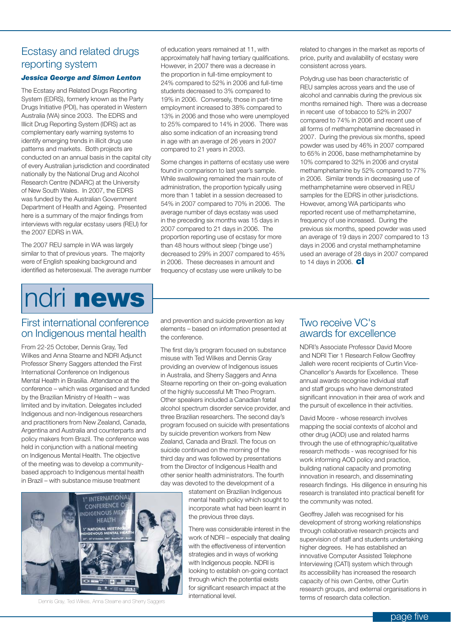#### Ecstasy and related drugs reporting system

#### *Jessica George and Simon Lenton*

The Ecstasy and Related Drugs Reporting System (EDRS), formerly known as the Party Drugs Initiative (PDI), has operated in Western Australia (WA) since 2003. The EDRS and Illicit Drug Reporting System (IDRS) act as complementary early warning systems to identify emerging trends in illicit drug use patterns and markets. Both projects are conducted on an annual basis in the capital city of every Australian jurisdiction and coordinated nationally by the National Drug and Alcohol Research Centre (NDARC) at the University of New South Wales. In 2007, the EDRS was funded by the Australian Government Department of Health and Ageing. Presented here is a summary of the major findings from interviews with regular ecstasy users (REU) for the 2007 EDRS in WA.

The 2007 REU sample in WA was largely similar to that of previous years. The majority were of English speaking background and identified as heterosexual. The average number

# ndri **news**

of education years remained at 11, with approximately half having tertiary qualifications. However, in 2007 there was a decrease in the proportion in full-time employment to 24% compared to 52% in 2006 and full-time students decreased to 3% compared to 19% in 2006. Conversely, those in part-time employment increased to 38% compared to 13% in 2006 and those who were unemployed to 25% compared to 14% in 2006. There was also some indication of an increasing trend in age with an average of 26 years in 2007 compared to 21 years in 2003.

Some changes in patterns of ecstasy use were found in comparison to last year's sample. While swallowing remained the main route of administration, the proportion typically using more than 1 tablet in a session decreased to 54% in 2007 compared to 70% in 2006. The average number of days ecstasy was used in the preceding six months was 15 days in 2007 compared to 21 days in 2006. The proportion reporting use of ecstasy for more than 48 hours without sleep ('binge use') decreased to 29% in 2007 compared to 45% in 2006. These decreases in amount and frequency of ecstasy use were unlikely to be

related to changes in the market as reports of price, purity and availability of ecstasy were consistent across years.

Polydrug use has been characteristic of REU samples across years and the use of alcohol and cannabis during the previous six months remained high. There was a decrease in recent use of tobacco to 52% in 2007 compared to 74% in 2006 and recent use of all forms of methamphetamine decreased in 2007. During the previous six months, speed powder was used by 46% in 2007 compared to 65% in 2006, base methamphetamine by 10% compared to 32% in 2006 and crystal methamphetamine by 52% compared to 77% in 2006. Similar trends in decreasing use of methamphetamine were observed in REU samples for the EDRS in other jurisdictions. However, among WA participants who reported recent use of methamphetamine, frequency of use increased. During the previous six months, speed powder was used an average of 19 days in 2007 compared to 13 days in 2006 and crystal methamphetamine used an average of 28 days in 2007 compared to 14 days in 2006. **cl**

#### First international conference on Indigenous mental health

From 22-25 October, Dennis Gray, Ted Wilkes and Anna Stearne and NDRI Adjunct Professor Sherry Saggers attended the First International Conference on Indigenous Mental Health in Brasilia. Attendance at the conference – which was organised and funded by the Brazilian Ministry of Health – was limited and by invitation. Delegates included Indigenous and non-Indigenous researchers and practitioners from New Zealand, Canada, Argentina and Australia and counterparts and policy makers from Brazil. The conference was held in conjunction with a national meeting on Indigenous Mental Health. The objective of the meeting was to develop a communitybased approach to Indigenous mental health in Brazil – with substance misuse treatment

and prevention and suicide prevention as key elements – based on information presented at the conference.

The first day's program focused on substance misuse with Ted Wilkes and Dennis Gray providing an overview of Indigenous issues in Australia, and Sherry Saggers and Anna Stearne reporting on their on-going evaluation of the highly successful Mt Theo Program. Other speakers included a Canadian fœtal alcohol spectrum disorder service provider, and three Brazilian researchers. The second day's program focused on suicide with presentations by suicide prevention workers from New Zealand, Canada and Brazil. The focus on suicide continued on the morning of the third day and was followed by presentations from the Director of Indigenous Health and other senior health administrators. The fourth day was devoted to the development of a

> statement on Brazilian Indigenous mental health policy which sought to incorporate what had been learnt in the previous three days.

> There was considerable interest in the work of NDRI – especially that dealing with the effectiveness of intervention strategies and in ways of working with Indigenous people. NDRI is looking to establish on-going contact through which the potential exists for significant research impact at the international level.

#### Two receive VC's awards for excellence

NDRI's Associate Professor David Moore and NDRI Tier 1 Research Fellow Geoffrey Jalleh were recent recipients of Curtin Vice-Chancellor's Awards for Excellence. These annual awards recognise individual staff and staff groups who have demonstrated significant innovation in their area of work and the pursuit of excellence in their activities.

David Moore - whose research involves mapping the social contexts of alcohol and other drug (AOD) use and related harms through the use of ethnographic/qualitative research methods - was recognised for his work informing AOD policy and practice, building national capacity and promoting innovation in research, and disseminating research findings. His diligence in ensuring his research is translated into practical benefit for the community was noted.

Geoffrey Jalleh was recognised for his development of strong working relationships through collaborative research projects and supervision of staff and students undertaking higher degrees. He has established an innovative Computer Assisted Telephone Interviewing (CATI) system which through its accessibility has increased the research capacity of his own Centre, other Curtin research groups, and external organisations in

![](_page_4_Picture_19.jpeg)

terms of research data collection.<br>
Dennis Gray, Ted Wilkes, Anna Stearne and Sherry Saggers<br> **international level.**<br> **international level.**<br> **international level.**<br> **international level.**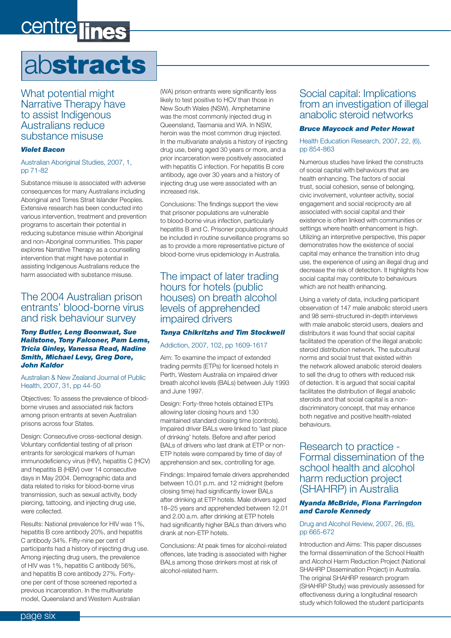# centre line

# ab**stracts**

What potential might Narrative Therapy have to assist Indigenous Australians reduce substance misuse

#### *Violet Bacon*

#### Australian Aboriginal Studies, 2007, 1, pp 71-82

Substance misuse is associated with adverse consequences for many Australians including Aboriginal and Torres Strait Islander Peoples. Extensive research has been conducted into various intervention, treatment and prevention programs to ascertain their potential in reducing substance misuse within Aboriginal and non-Aboriginal communities. This paper explores Narrative Therapy as a counselling intervention that might have potential in assisting Indigenous Australians reduce the harm associated with substance misuse.

#### The 2004 Australian prison entrants' blood-borne virus and risk behaviour survey

#### *Tony Butler, Leng Boonwaat, Sue Hailstone, Tony Falconer, Pam Lems, Tricia Ginley, Vanessa Read, Nadine Smith, Michael Levy, Greg Dore, John Kaldor*

#### Australian & New Zealand Journal of Public Health, 2007, 31, pp 44-50

Objectives: To assess the prevalence of bloodborne viruses and associated risk factors among prison entrants at seven Australian prisons across four States.

Design: Consecutive cross-sectional design. Voluntary confidential testing of all prison entrants for serological markers of human immunodeficiency virus (HIV), hepatitis C (HCV) and hepatitis B (HBV) over 14 consecutive days in May 2004. Demographic data and data related to risks for blood-borne virus transmission, such as sexual activity, body piercing, tattooing, and injecting drug use, were collected.

Results: National prevalence for HIV was 1%, hepatitis B core antibody 20%, and hepatitis C antibody 34%. Fifty-nine per cent of participants had a history of injecting drug use. Among injecting drug users, the prevalence of HIV was 1%, hepatitis C antibody 56%, and hepatitis B core antibody 27%. Fortyone per cent of those screened reported a previous incarceration. In the multivariate model, Queensland and Western Australian

(WA) prison entrants were significantly less likely to test positive to HCV than those in New South Wales (NSW). Amphetamine was the most commonly injected drug in Queensland, Tasmania and WA. In NSW, heroin was the most common drug injected. In the multivariate analysis a history of injecting drug use, being aged 30 years or more, and a prior incarceration were positively associated with hepatitis C infection. For hepatitis B core antibody, age over 30 years and a history of injecting drug use were associated with an increased risk.

Conclusions: The findings support the view that prisoner populations are vulnerable to blood-borne virus infection, particularly hepatitis B and C. Prisoner populations should be included in routine surveillance programs so as to provide a more representative picture of blood-borne virus epidemiology in Australia.

#### The impact of later trading hours for hotels (public houses) on breath alcohol levels of apprehended impaired drivers

#### *Tanya Chikritzhs and Tim Stockwell*

#### Addiction, 2007, 102, pp 1609-1617

Aim: To examine the impact of extended trading permits (ETPs) for licensed hotels in Perth, Western Australia on impaired driver breath alcohol levels (BALs) between July 1993 and June 1997.

Design: Forty-three hotels obtained ETPs allowing later closing hours and 130 maintained standard closing time (controls). Impaired driver BALs were linked to 'last place of drinking' hotels. Before and after period BALs of drivers who last drank at ETP or non-ETP hotels were compared by time of day of apprehension and sex, controlling for age.

Findings: Impaired female drivers apprehended between 10.01 p.m. and 12 midnight (before closing time) had significantly lower BALs after drinking at ETP hotels. Male drivers aged 18–25 years and apprehended between 12.01 and 2.00 a.m. after drinking at ETP hotels had significantly higher BALs than drivers who drank at non-ETP hotels.

Conclusions: At peak times for alcohol-related offences, late trading is associated with higher BALs among those drinkers most at risk of alcohol-related harm.

#### Social capital: Implications from an investigation of illegal anabolic steroid networks

#### *Bruce Maycock and Peter Howat*

#### Health Education Research, 2007, 22, (6), pp 854-863

Numerous studies have linked the constructs of social capital with behaviours that are health enhancing. The factors of social trust, social cohesion, sense of belonging, civic involvement, volunteer activity, social engagement and social reciprocity are all associated with social capital and their existence is often linked with communities or settings where health enhancement is high. Utilizing an interpretive perspective, this paper demonstrates how the existence of social capital may enhance the transition into drug use, the experience of using an illegal drug and decrease the risk of detection. It highlights how social capital may contribute to behaviours which are not health enhancing.

Using a variety of data, including participant observation of 147 male anabolic steroid users and 98 semi-structured in-depth interviews with male anabolic steroid users, dealers and distributors it was found that social capital facilitated the operation of the illegal anabolic steroid distribution network. The subcultural norms and social trust that existed within the network allowed anabolic steroid dealers to sell the drug to others with reduced risk of detection. It is argued that social capital facilitates the distribution of illegal anabolic steroids and that social capital is a nondiscriminatory concept, that may enhance both negative and positive health-related behaviours.

Research to practice - Formal dissemination of the school health and alcohol harm reduction project (SHAHRP) in Australia

#### *Nyanda McBride, Fiona Farringdon and Carole Kennedy*

#### Drug and Alcohol Review, 2007, 26, (6), pp 665-672

Introduction and Aims: This paper discusses the formal dissemination of the School Health and Alcohol Harm Reduction Project (National SHAHRP Dissemination Project) in Australia. The original SHAHRP research program (SHAHRP Study) was previously assessed for effectiveness during a longitudinal research study which followed the student participants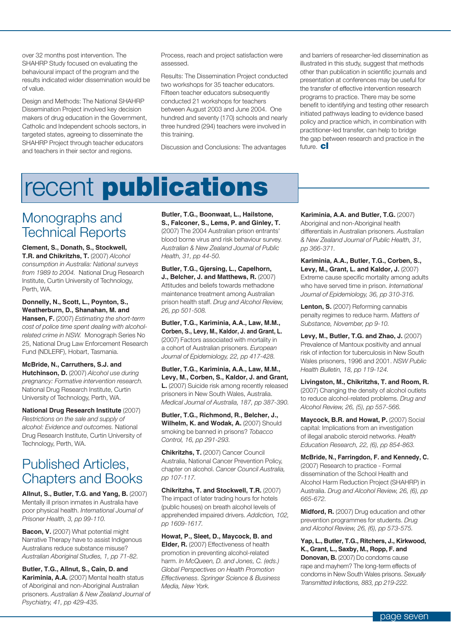over 32 months post intervention. The SHAHRP Study focused on evaluating the behavioural impact of the program and the results indicated wider dissemination would be of value.

Design and Methods: The National SHAHRP Dissemination Project involved key decision makers of drug education in the Government, Catholic and Independent schools sectors, in targeted states, agreeing to disseminate the SHAHRP Project through teacher educators and teachers in their sector and regions.

Process, reach and project satisfaction were assessed.

Results: The Dissemination Project conducted two workshops for 35 teacher educators. Fifteen teacher educators subsequently conducted 21 workshops for teachers between August 2003 and June 2004. One hundred and seventy (170) schools and nearly three hundred (294) teachers were involved in this training.

Discussion and Conclusions: The advantages

and barriers of researcher-led dissemination as illustrated in this study, suggest that methods other than publication in scientific journals and presentation at conferences may be useful for the transfer of effective intervention research programs to practice. There may be some benefit to identifying and testing other research initiated pathways leading to evidence based policy and practice which, in combination with practitioner-led transfer, can help to bridge the gap between research and practice in the future. **cl**

## recent **publications**

## Monographs and Technical Reports

**Clement, S., Donath, S., Stockwell, T.R. and Chikritzhs, T.** (2007) *Alcohol consumption in Australia: National surveys from 1989 to 2004.* National Drug Research Institute, Curtin University of Technology, Perth, WA.

**Donnelly, N., Scott, L., Poynton, S., Weatherburn, D., Shanahan, M. and Hansen, F.** (2007) *Estimating the short-term cost of police time spent dealing with alcoholrelated crime in NSW.* Monograph Series No 25, National Drug Law Enforcement Research Fund (NDLERF), Hobart, Tasmania.

**McBride, N., Carruthers, S.J. and Hutchinson, D.** (2007) *Alcohol use during pregnancy: Formative intervention research.*  National Drug Research Institute, Curtin University of Technology, Perth, WA.

**National Drug Research Institute** (2007) *Restrictions on the sale and supply of alcohol: Evidence and outcomes.* National Drug Research Institute, Curtin University of Technology, Perth, WA.

## Published Articles, Chapters and Books

**Allnut, S., Butler, T.G. and Yang, B.** (2007) Mentally ill prison inmates in Australia have poor physical health. *International Journal of Prisoner Health, 3, pp 99-110.*

**Bacon, V.** (2007) What potential might Narrative Therapy have to assist Indigenous Australians reduce substance misuse? *Australian Aboriginal Studies, 1, pp 71-82.*

**Butler, T.G., Allnut, S., Cain, D. and Kariminia, A.A.** (2007) Mental health status of Aboriginal and non-Aboriginal Australian prisoners. *Australian & New Zealand Journal of Psychiatry, 41, pp 429-435.*

**Butler, T.G., Boonwaat, L., Hailstone, S., Falconer, S., Lems, P. and Ginley, T.**  (2007) The 2004 Australian prison entrants' blood borne virus and risk behaviour survey. *Australian & New Zealand Journal of Public Health, 31, pp 44-50.*

**Butler, T.G., Gjersing, L., Capelhorn, J., Belcher, J. and Matthews, R.** (2007) Attitudes and beliefs towards methadone maintenance treatment among Australian prison health staff. *Drug and Alcohol Review, 26, pp 501-508.*

**Butler, T.G., Kariminia, A.A., Law, M.M., Corben, S., Levy, M., Kaldor, J. and Grant, L.** (2007) Factors associated with mortality in a cohort of Australian prisoners. *European Journal of Epidemiology, 22, pp 417-428.*

**Butler, T.G., Kariminia, A.A., Law, M.M., Levy, M., Corben, S., Kaldor, J. and Grant, L.** (2007) Suicide risk among recently released prisoners in New South Wales, Australia. *Medical Journal of Australia, 187, pp 387-390.*

**Butler, T.G., Richmond, R., Belcher, J., Wilhelm, K. and Wodak, A. (2007) Should** smoking be banned in prisons? *Tobacco Control, 16, pp 291-293.*

**Chikritzhs, T.** (2007) Cancer Council Australia, National Cancer Prevention Policy, chapter on alcohol. *Cancer Council Australia, pp 107-117.*

**Chikritzhs, T. and Stockwell, T.R.** (2007) The impact of later trading hours for hotels (public houses) on breath alcohol levels of apprehended impaired drivers. *Addiction, 102, pp 1609-1617.*

**Howat, P., Sleet, D., Maycock, B. and Elder, R.** (2007) Effectiveness of health promotion in preventing alcohol-related harm. *In McQueen, D. and Jones, C. (eds.) Global Perspectives on Health Promotion Effectiveness. Springer Science & Business Media, New York.*

**Kariminia, A.A. and Butler, T.G.** (2007) Aboriginal and non-Aboriginal health differentials in Australian prisoners. *Australian & New Zealand Journal of Public Health, 31, pp 366-371.*

**Kariminia, A.A., Butler, T.G., Corben, S., Levy, M., Grant, L. and Kaldor, J.** (2007) Extreme cause specific mortality among adults who have served time in prison. *International Journal of Epidemiology, 36, pp 310-316.*

Lenton, S. (2007) Reforming cannabis penalty regimes to reduce harm. *Matters of Substance, November, pp 9-10.*

**Levy, M., Butler, T.G. and Zhao, J.** (2007) Prevalence of Mantoux positivity and annual risk of infection for tuberculosis in New South Wales prisoners, 1996 and 2001. *NSW Public Health Bulletin, 18, pp 119-124.*

**Livingston, M., Chikritzhs, T. and Room, R.** (2007) Changing the density of alcohol outlets to reduce alcohol-related problems. *Drug and Alcohol Review, 26, (5), pp 557-566.*

**Maycock, B.R. and Howat, P. (2007) Social** capital: Implications from an investigation of illegal anabolic steroid networks. *Health Education Research, 22, (6), pp 854-863.*

**McBride, N., Farringdon, F. and Kennedy, C.** (2007) Research to practice - Formal dissemination of the School Health and Alcohol Harm Reduction Project (SHAHRP) in Australia. *Drug and Alcohol Review, 26, (6), pp 665-672.*

**Midford, R.** (2007) Drug education and other prevention programmes for students. *Drug and Alcohol Review, 26, (6), pp 573-575.*

**Yap, L., Butler, T.G., Ritchers, J., Kirkwood, K., Grant, L., Saxby, M., Ropp, F. and Donovan, B.** (2007) Do condoms cause rape and mayhem? The long-term effects of condoms in New South Wales prisons. *Sexually Transmitted Infections, 883, pp 219-222.*